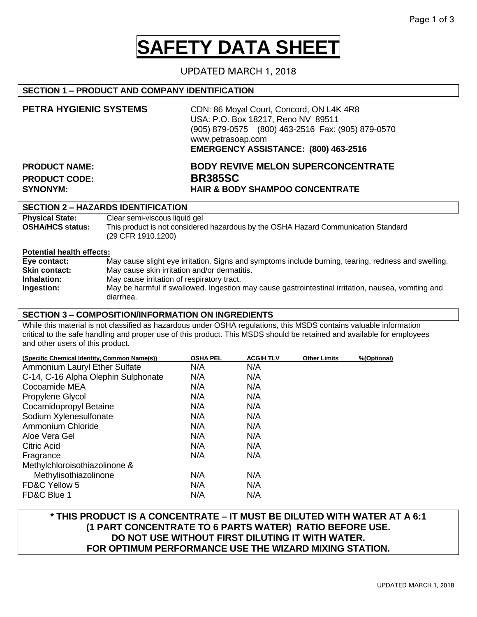# **SAFETY DATA SHEET**

## UPDATED MARCH 1, 2018

## **SECTION 1 – PRODUCT AND COMPANY IDENTIFICATION**

| PETRA HYGIENIC SYSTEMS | CDN: 86 Moyal Court, Concord, ON L4K 4R8<br>USA: P.O. Box 18217, Reno NV 89511<br>(905) 879-0575 (800) 463-2516 Fax: (905) 879-0570<br>www.petrasoap.com<br>EMERGENCY ASSISTANCE: (800) 463-2516 |  |
|------------------------|--------------------------------------------------------------------------------------------------------------------------------------------------------------------------------------------------|--|
| <b>PRODUCT NAME:</b>   | <b>BODY REVIVE MELON SUPERCONCENTRATE</b>                                                                                                                                                        |  |
| <b>PRODUCT CODE:</b>   | <b>BR385SC</b>                                                                                                                                                                                   |  |
| <b>SYNONYM:</b>        | <b>HAIR &amp; BODY SHAMPOO CONCENTRATE</b>                                                                                                                                                       |  |

## **SECTION 2 – HAZARDS IDENTIFICATION**

| <b>Physical State:</b>  | Clear semi-viscous liquid gel                                                                            |
|-------------------------|----------------------------------------------------------------------------------------------------------|
| <b>OSHA/HCS status:</b> | This product is not considered hazardous by the OSHA Hazard Communication Standard<br>(29 CFR 1910.1200) |

#### **Potential health effects:**

| Eye contact:         | May cause slight eye irritation. Signs and symptoms include burning, tearing, redness and swelling. |
|----------------------|-----------------------------------------------------------------------------------------------------|
| <b>Skin contact:</b> | May cause skin irritation and/or dermatitis.                                                        |
| Inhalation:          | May cause irritation of respiratory tract.                                                          |
| Ingestion:           | May be harmful if swallowed. Ingestion may cause gastrointestinal irritation, nausea, vomiting and  |
|                      | diarrhea.                                                                                           |

#### **SECTION 3 – COMPOSITION/INFORMATION ON INGREDIENTS**

While this material is not classified as hazardous under OSHA regulations, this MSDS contains valuable information critical to the safe handling and proper use of this product. This MSDS should be retained and available for employees and other users of this product.

| (Specific Chemical Identity, Common Name(s)) | <b>OSHA PEL</b> | <b>ACGIH TLV</b> | <b>Other Limits</b> | %(Optional) |
|----------------------------------------------|-----------------|------------------|---------------------|-------------|
| Ammonium Lauryl Ether Sulfate                | N/A             | N/A              |                     |             |
| C-14, C-16 Alpha Olephin Sulphonate          | N/A             | N/A              |                     |             |
| Cocoamide MEA                                | N/A             | N/A              |                     |             |
| Propylene Glycol                             | N/A             | N/A              |                     |             |
| Cocamidopropyl Betaine                       | N/A             | N/A              |                     |             |
| Sodium Xylenesulfonate                       | N/A             | N/A              |                     |             |
| Ammonium Chloride                            | N/A             | N/A              |                     |             |
| Aloe Vera Gel                                | N/A             | N/A              |                     |             |
| Citric Acid                                  | N/A             | N/A              |                     |             |
| Fragrance                                    | N/A             | N/A              |                     |             |
| Methylchloroisothiazolinone &                |                 |                  |                     |             |
| Methylisothiazolinone                        | N/A             | N/A              |                     |             |
| FD&C Yellow 5                                | N/A             | N/A              |                     |             |
| FD&C Blue 1                                  | N/A             | N/A              |                     |             |

## **\* THIS PRODUCT IS A CONCENTRATE – IT MUST BE DILUTED WITH WATER AT A 6:1 (1 PART CONCENTRATE TO 6 PARTS WATER) RATIO BEFORE USE. DO NOT USE WITHOUT FIRST DILUTING IT WITH WATER. FOR OPTIMUM PERFORMANCE USE THE WIZARD MIXING STATION.**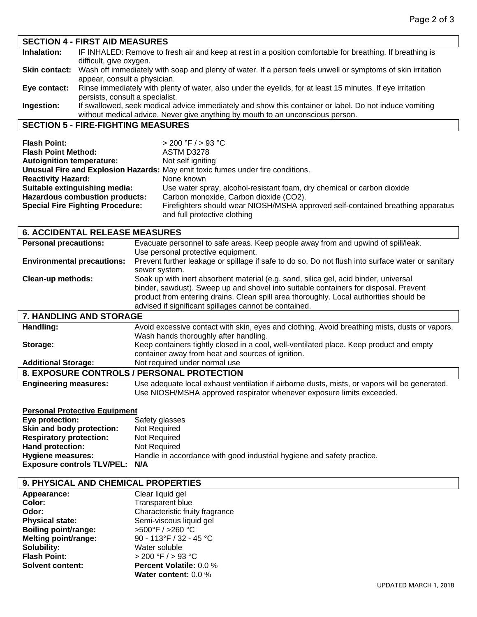| <b>SECTION 4 - FIRST AID MEASURES</b>                                                                                     |
|---------------------------------------------------------------------------------------------------------------------------|
| IF INHALED: Remove to fresh air and keep at rest in a position comfortable for breathing. If breathing is                 |
| difficult, give oxygen.                                                                                                   |
| Skin contact: Wash off immediately with soap and plenty of water. If a person feels unwell or symptoms of skin irritation |
| appear, consult a physician.                                                                                              |
| Rinse immediately with plenty of water, also under the eyelids, for at least 15 minutes. If eye irritation                |
| persists, consult a specialist.                                                                                           |
| If swallowed, seek medical advice immediately and show this container or label. Do not induce vomiting                    |
| without medical advice. Never give anything by mouth to an unconscious person.                                            |
| <b>SECTION 5 - FIRE-FIGHTING MEASURES</b>                                                                                 |
|                                                                                                                           |

| <b>Flash Point:</b>                     | $> 200$ °F $/ > 93$ °C                                                          |
|-----------------------------------------|---------------------------------------------------------------------------------|
| <b>Flash Point Method:</b>              | ASTM D3278                                                                      |
| <b>Autoignition temperature:</b>        | Not self igniting                                                               |
|                                         | Unusual Fire and Explosion Hazards: May emit toxic fumes under fire conditions. |
| <b>Reactivity Hazard:</b>               | None known                                                                      |
| Suitable extinguishing media:           | Use water spray, alcohol-resistant foam, dry chemical or carbon dioxide         |
| <b>Hazardous combustion products:</b>   | Carbon monoxide, Carbon dioxide (CO2).                                          |
| <b>Special Fire Fighting Procedure:</b> | Firefighters should wear NIOSH/MSHA approved self-contained breathing apparatus |
|                                         | and full protective clothing                                                    |

## **6. ACCIDENTAL RELEASE MEASURES**

| <b>Personal precautions:</b>      | Evacuate personnel to safe areas. Keep people away from and upwind of spill/leak.                                                                                                                                                                                                                                               |
|-----------------------------------|---------------------------------------------------------------------------------------------------------------------------------------------------------------------------------------------------------------------------------------------------------------------------------------------------------------------------------|
|                                   | Use personal protective equipment.                                                                                                                                                                                                                                                                                              |
| <b>Environmental precautions:</b> | Prevent further leakage or spillage if safe to do so. Do not flush into surface water or sanitary<br>sewer system.                                                                                                                                                                                                              |
| Clean-up methods:                 | Soak up with inert absorbent material (e.g. sand, silica gel, acid binder, universal<br>binder, sawdust). Sweep up and shovel into suitable containers for disposal. Prevent<br>product from entering drains. Clean spill area thoroughly. Local authorities should be<br>advised if significant spillages cannot be contained. |
| <b>7. HANDLING AND STORAGE</b>    |                                                                                                                                                                                                                                                                                                                                 |

| Handling:                    | Avoid excessive contact with skin, eyes and clothing. Avoid breathing mists, dusts or vapors. |
|------------------------------|-----------------------------------------------------------------------------------------------|
|                              | Wash hands thoroughly after handling.                                                         |
| Storage:                     | Keep containers tightly closed in a cool, well-ventilated place. Keep product and empty       |
|                              | container away from heat and sources of ignition.                                             |
| <b>Additional Storage:</b>   | Not required under normal use                                                                 |
|                              | 8. EXPOSURE CONTROLS / PERSONAL PROTECTION                                                    |
| <b>Engineering measures:</b> | Use adequate local exhaust ventilation if airborne dusts, mists, or vapors will be generated. |
|                              | Use NIOSH/MSHA approved respirator whenever exposure limits exceeded.                         |

## **Personal Protective Equipment**

| Eye protection:                | Safety glasses                                                         |
|--------------------------------|------------------------------------------------------------------------|
| Skin and body protection:      | Not Required                                                           |
| <b>Respiratory protection:</b> | Not Required                                                           |
| Hand protection:               | Not Required                                                           |
| <b>Hygiene measures:</b>       | Handle in accordance with good industrial hygiene and safety practice. |
| Exposure controls TLV/PEL: N/A |                                                                        |

| Appearance:                 | Clear liquid gel                |
|-----------------------------|---------------------------------|
| Color:                      | <b>Transparent blue</b>         |
| Odor:                       | Characteristic fruity fragrance |
| <b>Physical state:</b>      | Semi-viscous liquid gel         |
| <b>Boiling point/range:</b> | >500°F / >260 °C                |
| <b>Melting point/range:</b> | 90 - 113°F / 32 - 45 °C         |
| Solubility:                 | Water soluble                   |
| <b>Flash Point:</b>         | > 200 °F / > 93 °C              |
| <b>Solvent content:</b>     | <b>Percent Volatile: 0.0 %</b>  |
|                             | Water content: 0.0 %            |